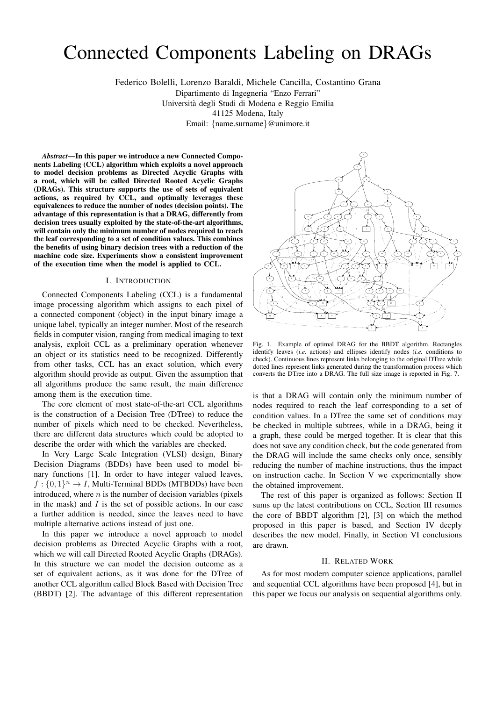# Connected Components Labeling on DRAGs

Federico Bolelli, Lorenzo Baraldi, Michele Cancilla, Costantino Grana

Dipartimento di Ingegneria "Enzo Ferrari"

Universita degli Studi di Modena e Reggio Emilia `

41125 Modena, Italy

Email: {name.surname}@unimore.it

*Abstract*—In this paper we introduce a new Connected Components Labeling (CCL) algorithm which exploits a novel approach to model decision problems as Directed Acyclic Graphs with a root, which will be called Directed Rooted Acyclic Graphs (DRAGs). This structure supports the use of sets of equivalent actions, as required by CCL, and optimally leverages these equivalences to reduce the number of nodes (decision points). The advantage of this representation is that a DRAG, differently from decision trees usually exploited by the state-of-the-art algorithms, will contain only the minimum number of nodes required to reach the leaf corresponding to a set of condition values. This combines the benefits of using binary decision trees with a reduction of the machine code size. Experiments show a consistent improvement of the execution time when the model is applied to CCL.

# I. INTRODUCTION

Connected Components Labeling (CCL) is a fundamental image processing algorithm which assigns to each pixel of a connected component (object) in the input binary image a unique label, typically an integer number. Most of the research fields in computer vision, ranging from medical imaging to text analysis, exploit CCL as a preliminary operation whenever an object or its statistics need to be recognized. Differently from other tasks, CCL has an exact solution, which every algorithm should provide as output. Given the assumption that all algorithms produce the same result, the main difference among them is the execution time.

The core element of most state-of-the-art CCL algorithms is the construction of a Decision Tree (DTree) to reduce the number of pixels which need to be checked. Nevertheless, there are different data structures which could be adopted to describe the order with which the variables are checked.

In Very Large Scale Integration (VLSI) design, Binary Decision Diagrams (BDDs) have been used to model binary functions [1]. In order to have integer valued leaves,  $f: \{0,1\}^n \to I$ , Multi-Terminal BDDs (MTBDDs) have been introduced, where  $n$  is the number of decision variables (pixels in the mask) and  $I$  is the set of possible actions. In our case a further addition is needed, since the leaves need to have multiple alternative actions instead of just one.

In this paper we introduce a novel approach to model decision problems as Directed Acyclic Graphs with a root, which we will call Directed Rooted Acyclic Graphs (DRAGs). In this structure we can model the decision outcome as a set of equivalent actions, as it was done for the DTree of another CCL algorithm called Block Based with Decision Tree (BBDT) [2]. The advantage of this different representation



Fig. 1. Example of optimal DRAG for the BBDT algorithm. Rectangles identify leaves (*i.e.* actions) and ellipses identify nodes (*i.e.* conditions to check). Continuous lines represent links belonging to the original DTree while dotted lines represent links generated during the transformation process which converts the DTree into a DRAG. The full size image is reported in Fig. 7.

is that a DRAG will contain only the minimum number of nodes required to reach the leaf corresponding to a set of condition values. In a DTree the same set of conditions may be checked in multiple subtrees, while in a DRAG, being it a graph, these could be merged together. It is clear that this does not save any condition check, but the code generated from the DRAG will include the same checks only once, sensibly reducing the number of machine instructions, thus the impact on instruction cache. In Section V we experimentally show the obtained improvement.

The rest of this paper is organized as follows: Section II sums up the latest contributions on CCL, Section III resumes the core of BBDT algorithm [2], [3] on which the method proposed in this paper is based, and Section IV deeply describes the new model. Finally, in Section VI conclusions are drawn.

### II. RELATED WORK

As for most modern computer science applications, parallel and sequential CCL algorithms have been proposed [4], but in this paper we focus our analysis on sequential algorithms only.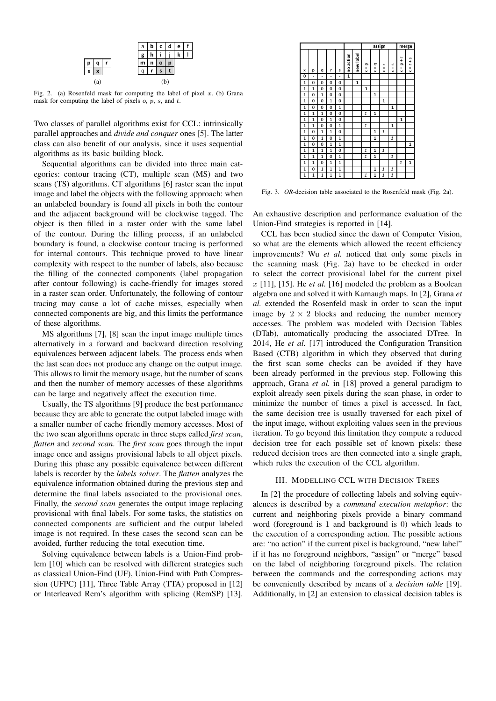

Fig. 2. (a) Rosenfeld mask for computing the label of pixel  $x$ . (b) Grana mask for computing the label of pixels o, p, s, and t.

Two classes of parallel algorithms exist for CCL: intrinsically parallel approaches and *divide and conquer* ones [5]. The latter class can also benefit of our analysis, since it uses sequential algorithms as its basic building block.

Sequential algorithms can be divided into three main categories: contour tracing (CT), multiple scan (MS) and two scans (TS) algorithms. CT algorithms [6] raster scan the input image and label the objects with the following approach: when an unlabeled boundary is found all pixels in both the contour and the adjacent background will be clockwise tagged. The object is then filled in a raster order with the same label of the contour. During the filling process, if an unlabeled boundary is found, a clockwise contour tracing is performed for internal contours. This technique proved to have linear complexity with respect to the number of labels, also because the filling of the connected components (label propagation after contour following) is cache-friendly for images stored in a raster scan order. Unfortunately, the following of contour tracing may cause a lot of cache misses, especially when connected components are big, and this limits the performance of these algorithms.

MS algorithms [7], [8] scan the input image multiple times alternatively in a forward and backward direction resolving equivalences between adjacent labels. The process ends when the last scan does not produce any change on the output image. This allows to limit the memory usage, but the number of scans and then the number of memory accesses of these algorithms can be large and negatively affect the execution time.

Usually, the TS algorithms [9] produce the best performance because they are able to generate the output labeled image with a smaller number of cache friendly memory accesses. Most of the two scan algorithms operate in three steps called *first scan*, *flatten* and *second scan*. The *first scan* goes through the input image once and assigns provisional labels to all object pixels. During this phase any possible equivalence between different labels is recorder by the *labels solver*. The *flatten* analyzes the equivalence information obtained during the previous step and determine the final labels associated to the provisional ones. Finally, the *second scan* generates the output image replacing provisional with final labels. For some tasks, the statistics on connected components are sufficient and the output labeled image is not required. In these cases the second scan can be avoided, further reducing the total execution time.

Solving equivalence between labels is a Union-Find problem [10] which can be resolved with different strategies such as classical Union-Find (UF), Union-Find with Path Compression (UFPC) [11], Three Table Array (TTA) proposed in [12] or Interleaved Rem's algorithm with splicing (RemSP) [13].



Fig. 3. *OR*-decision table associated to the Rosenfeld mask (Fig. 2a).

An exhaustive description and performance evaluation of the Union-Find strategies is reported in [14].

CCL has been studied since the dawn of Computer Vision, so what are the elements which allowed the recent efficiency improvements? Wu *et al.* noticed that only some pixels in the scanning mask (Fig. 2a) have to be checked in order to select the correct provisional label for the current pixel x [11], [15]. He *et al.* [16] modeled the problem as a Boolean algebra one and solved it with Karnaugh maps. In [2], Grana *et al.* extended the Rosenfeld mask in order to scan the input image by  $2 \times 2$  blocks and reducing the number memory accesses. The problem was modeled with Decision Tables (DTab), automatically producing the associated DTree. In 2014, He *et al.* [17] introduced the Configuration Transition Based (CTB) algorithm in which they observed that during the first scan some checks can be avoided if they have been already performed in the previous step. Following this approach, Grana *et al.* in [18] proved a general paradigm to exploit already seen pixels during the scan phase, in order to minimize the number of times a pixel is accessed. In fact, the same decision tree is usually traversed for each pixel of the input image, without exploiting values seen in the previous iteration. To go beyond this limitation they compute a reduced decision tree for each possible set of known pixels: these reduced decision trees are then connected into a single graph, which rules the execution of the CCL algorithm.

#### III. MODELLING CCL WITH DECISION TREES

In [2] the procedure of collecting labels and solving equivalences is described by a *command execution metaphor*: the current and neighboring pixels provide a binary command word (foreground is 1 and background is 0) which leads to the execution of a corresponding action. The possible actions are: "no action" if the current pixel is background, "new label" if it has no foreground neighbors, "assign" or "merge" based on the label of neighboring foreground pixels. The relation between the commands and the corresponding actions may be conveniently described by means of a *decision table* [19]. Additionally, in [2] an extension to classical decision tables is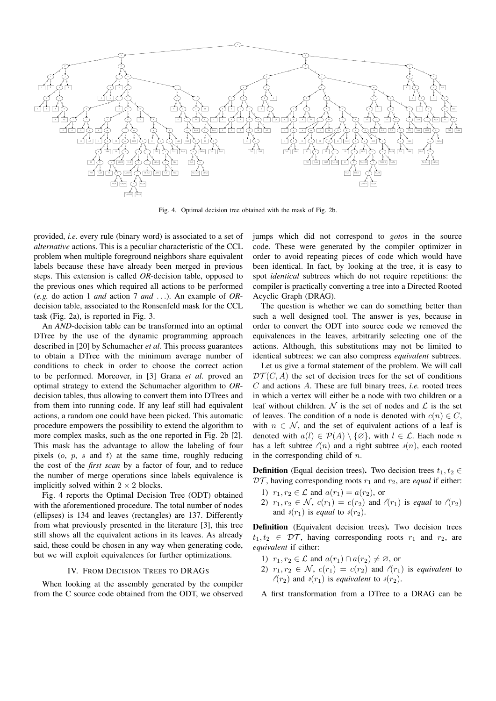

Fig. 4. Optimal decision tree obtained with the mask of Fig. 2b.

provided, *i.e.* every rule (binary word) is associated to a set of *alternative* actions. This is a peculiar characteristic of the CCL problem when multiple foreground neighbors share equivalent labels because these have already been merged in previous steps. This extension is called OR-decision table, opposed to the previous ones which required all actions to be performed (e.g. do action 1 and action 7 and ...). An example of ORdecision table, associated to the Ronsenfeld mask for the CCL task (Fig. 2a), is reported in Fig. 3.

An AND-decision table can be transformed into an optimal DTree by the use of the dynamic programming approach described in [20] by Schumacher et al. This process guarantees to obtain a DTree with the minimum average number of conditions to check in order to choose the correct action to be performed. Moreover, in [3] Grana et al. proved an optimal strategy to extend the Schumacher algorithm to ORdecision tables, thus allowing to convert them into DTrees and from them into running code. If any leaf still had equivalent actions, a random one could have been picked. This automatic procedure empowers the possibility to extend the algorithm to more complex masks, such as the one reported in Fig. 2b [2]. This mask has the advantage to allow the labeling of four pixels  $(o, p, s \text{ and } t)$  at the same time, roughly reducing the cost of the *first scan* by a factor of four, and to reduce the number of merge operations since labels equivalence is implicitly solved within  $2 \times 2$  blocks.

Fig. 4 reports the Optimal Decision Tree (ODT) obtained with the aforementioned procedure. The total number of nodes (ellipses) is 134 and leaves (rectangles) are 137. Differently from what previously presented in the literature [3], this tree still shows all the equivalent actions in its leaves. As already said, these could be chosen in any way when generating code, but we will exploit equivalences for further optimizations.

# IV. FROM DECISION TREES TO DRAGS

When looking at the assembly generated by the compiler from the C source code obtained from the ODT, we observed

jumps which did not correspond to *gotos* in the source code. These were generated by the compiler optimizer in order to avoid repeating pieces of code which would have been identical. In fact, by looking at the tree, it is easy to spot *identical* subtrees which do not require repetitions: the compiler is practically converting a tree into a Directed Rooted Acyclic Graph (DRAG).

The question is whether we can do something better than such a well designed tool. The answer is yes, because in order to convert the ODT into source code we removed the equivalences in the leaves, arbitrarily selecting one of the actions. Although, this substitutions may not be limited to identical subtrees: we can also compress equivalent subtrees.

Let us give a formal statement of the problem. We will call  $DT(C, A)$  the set of decision trees for the set of conditions  $C$  and actions  $A$ . These are full binary trees, *i.e.* rooted trees in which a vertex will either be a node with two children or a leaf without children.  $N$  is the set of nodes and  $\mathcal L$  is the set of leaves. The condition of a node is denoted with  $c(n) \in C$ , with  $n \in \mathcal{N}$ , and the set of equivalent actions of a leaf is denoted with  $a(l) \in \mathcal{P}(A) \setminus \{\emptyset\}$ , with  $l \in \mathcal{L}$ . Each node n has a left subtree  $\ell(n)$  and a right subtree  $\ell(n)$ , each rooted in the corresponding child of  $n$ .

**Definition** (Equal decision trees). Two decision trees  $t_1, t_2 \in$  $DT$ , having corresponding roots  $r_1$  and  $r_2$ , are *equal* if either:

- 1)  $r_1, r_2 \in \mathcal{L}$  and  $a(r_1) = a(r_2)$ , or
- 2)  $r_1, r_2 \in \mathcal{N}$ ,  $c(r_1) = c(r_2)$  and  $\ell(r_1)$  is equal to  $\ell(r_2)$ and  $\ell(r_1)$  is *equal* to  $\ell(r_2)$ .

Definition (Equivalent decision trees). Two decision trees  $t_1, t_2 \in \mathcal{DT}$ , having corresponding roots  $r_1$  and  $r_2$ , are equivalent if either:

- 1)  $r_1, r_2 \in \mathcal{L}$  and  $a(r_1) \cap a(r_2) \neq \emptyset$ , or
- 2)  $r_1, r_2 \in \mathcal{N}$ ,  $c(r_1) = c(r_2)$  and  $\ell(r_1)$  is equivalent to  $\ell(r_2)$  and  $\ell(r_1)$  is equivalent to  $\ell(r_2)$ .
- A first transformation from a DTree to a DRAG can be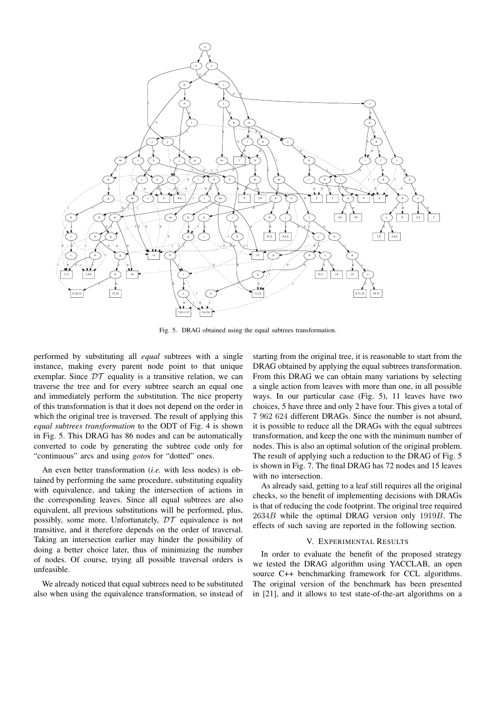

Fig. 5. DRAG obtained using the equal subtrees transformation.

performed by substituting all *equal* subtrees with a single instance, making every parent node point to that unique exemplar. Since  $DT$  equality is a transitive relation, we can traverse the tree and for every subtree search an equal one and immediately perform the substitution. The nice property of this transformation is that it does not depend on the order in which the original tree is traversed. The result of applying this *equal subtrees transformation* to the ODT of Fig. 4 is shown in Fig. 5. This DRAG has 86 nodes and can be automatically converted to code by generating the subtree code only for "continuous" arcs and using *goto*s for "dotted" ones.

An even better transformation (*i.e.* with less nodes) is obtained by performing the same procedure, substituting equality with equivalence, and taking the intersection of actions in the corresponding leaves. Since all equal subtrees are also equivalent, all previous substitutions will be performed, plus, possibly, some more. Unfortunately,  $DT$  equivalence is not transitive, and it therefore depends on the order of traversal. Taking an intersection earlier may hinder the possibility of doing a better choice later, thus of minimizing the number of nodes. Of course, trying all possible traversal orders is unfeasible.

We already noticed that equal subtrees need to be substituted also when using the equivalence transformation, so instead of

starting from the original tree, it is reasonable to start from the DRAG obtained by applying the equal subtrees transformation. From this DRAG we can obtain many variations by selecting a single action from leaves with more than one, in all possible ways. In our particular case (Fig. 5), 11 leaves have two choices, 5 have three and only 2 have four. This gives a total of 7 962 624 different DRAGs. Since the number is not absurd, it is possible to reduce all the DRAGs with the equal subtrees transformation, and keep the one with the minimum number of nodes. This is also an optimal solution of the original problem. The result of applying such a reduction to the DRAG of Fig. 5 is shown in Fig. 7. The final DRAG has 72 nodes and 15 leaves with no intersection.

As already said, getting to a leaf still requires all the original checks, so the benefit of implementing decisions with DRAGs is that of reducing the code footprint. The original tree required 2634B while the optimal DRAG version only 1919B. The effects of such saving are reported in the following section.

## V. EXPERIMENTAL RESULTS

In order to evaluate the benefit of the proposed strategy we tested the DRAG algorithm using YACCLAB, an open source C++ benchmarking framework for CCL algorithms. The original version of the benchmark has been presented in [21], and it allows to test state-of-the-art algorithms on a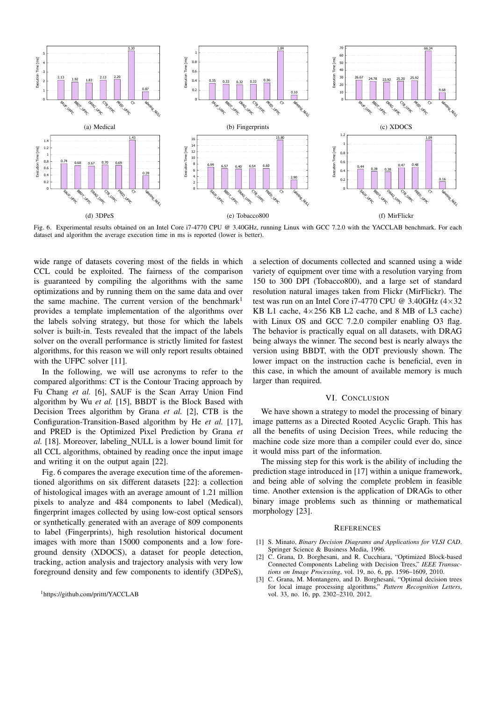

Fig. 6. Experimental results obtained on an Intel Core i7-4770 CPU @ 3.40GHz, running Linux with GCC 7.2.0 with the YACCLAB benchmark. For each dataset and algorithm the average execution time in ms is reported (lower is better).

wide range of datasets covering most of the fields in which CCL could be exploited. The fairness of the comparison is guaranteed by compiling the algorithms with the same optimizations and by running them on the same data and over the same machine. The current version of the benchmark<sup>1</sup> provides a template implementation of the algorithms over the labels solving strategy, but those for which the labels solver is built-in. Tests revealed that the impact of the labels solver on the overall performance is strictly limited for fastest algorithms, for this reason we will only report results obtained with the UFPC solver [11].

In the following, we will use acronyms to refer to the compared algorithms: CT is the Contour Tracing approach by Fu Chang *et al.* [6], SAUF is the Scan Array Union Find algorithm by Wu *et al.* [15], BBDT is the Block Based with Decision Trees algorithm by Grana *et al.* [2], CTB is the Configuration-Transition-Based algorithm by He *et al.* [17], and PRED is the Optimized Pixel Prediction by Grana *et al.* [18]. Moreover, labeling NULL is a lower bound limit for all CCL algorithms, obtained by reading once the input image and writing it on the output again [22].

Fig. 6 compares the average execution time of the aforementioned algorithms on six different datasets [22]: a collection of histological images with an average amount of 1.21 million pixels to analyze and 484 components to label (Medical), fingerprint images collected by using low-cost optical sensors or synthetically generated with an average of 809 components to label (Fingerprints), high resolution historical document images with more than 15000 components and a low foreground density (XDOCS), a dataset for people detection, tracking, action analysis and trajectory analysis with very low foreground density and few components to identify (3DPeS),

a selection of documents collected and scanned using a wide variety of equipment over time with a resolution varying from 150 to 300 DPI (Tobacco800), and a large set of standard resolution natural images taken from Flickr (MirFlickr). The test was run on an Intel Core i7-4770 CPU @ 3.40GHz  $(4\times32)$ KB L1 cache, 4×256 KB L2 cache, and 8 MB of L3 cache) with Linux OS and GCC 7.2.0 compiler enabling O3 flag. The behavior is practically equal on all datasets, with DRAG being always the winner. The second best is nearly always the version using BBDT, with the ODT previously shown. The lower impact on the instruction cache is beneficial, even in this case, in which the amount of available memory is much larger than required.

### VI. CONCLUSION

We have shown a strategy to model the processing of binary image patterns as a Directed Rooted Acyclic Graph. This has all the benefits of using Decision Trees, while reducing the machine code size more than a compiler could ever do, since it would miss part of the information.

The missing step for this work is the ability of including the prediction stage introduced in [17] within a unique framework, and being able of solving the complete problem in feasible time. Another extension is the application of DRAGs to other binary image problems such as thinning or mathematical morphology [23].

#### **REFERENCES**

- [1] S. Minato, *Binary Decision Diagrams and Applications for VLSI CAD*. Springer Science & Business Media, 1996.
- [2] C. Grana, D. Borghesani, and R. Cucchiara, "Optimized Block-based Connected Components Labeling with Decision Trees," *IEEE Transactions on Image Processing*, vol. 19, no. 6, pp. 1596–1609, 2010.
- [3] C. Grana, M. Montangero, and D. Borghesani, "Optimal decision trees for local image processing algorithms," *Pattern Recognition Letters*, vol. 33, no. 16, pp. 2302–2310, 2012.

<sup>1</sup>https://github.com/prittt/YACCLAB